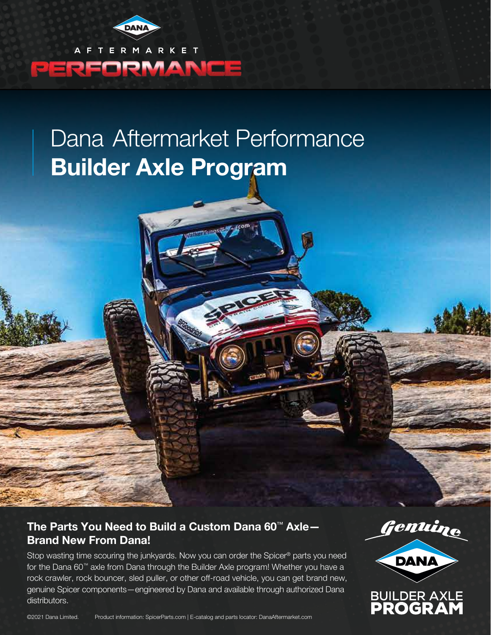

AFTERMARKET PERFORMANCE

## Dana Aftermarket Performance **Builder Axle Program**

## **The Parts You Need to Build a Custom Dana 60**™ **Axle— Brand New From Dana!**

Stop wasting time scouring the junkyards. Now you can order the Spicer® parts you need for the Dana 60™ axle from Dana through the Builder Axle program! Whether you have a rock crawler, rock bouncer, sled puller, or other off-road vehicle, you can get brand new, genuine Spicer components—engineered by Dana and available through authorized Dana distributors.